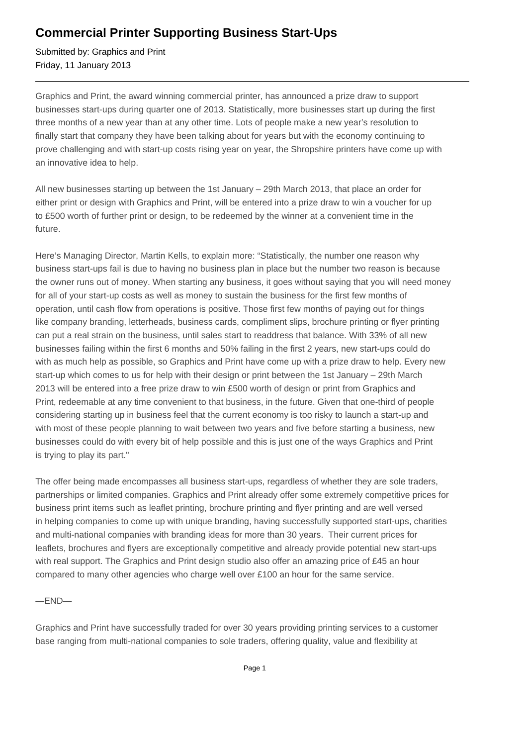## **Commercial Printer Supporting Business Start-Ups**

Submitted by: Graphics and Print Friday, 11 January 2013

Graphics and Print, the award winning commercial printer, has announced a prize draw to support businesses start-ups during quarter one of 2013. Statistically, more businesses start up during the first three months of a new year than at any other time. Lots of people make a new year's resolution to finally start that company they have been talking about for years but with the economy continuing to prove challenging and with start-up costs rising year on year, the Shropshire printers have come up with an innovative idea to help.

All new businesses starting up between the 1st January – 29th March 2013, that place an order for either print or design with Graphics and Print, will be entered into a prize draw to win a voucher for up to £500 worth of further print or design, to be redeemed by the winner at a convenient time in the future.

Here's Managing Director, Martin Kells, to explain more: "Statistically, the number one reason why business start-ups fail is due to having no business plan in place but the number two reason is because the owner runs out of money. When starting any business, it goes without saying that you will need money for all of your start-up costs as well as money to sustain the business for the first few months of operation, until cash flow from operations is positive. Those first few months of paying out for things like company branding, letterheads, business cards, compliment slips, brochure printing or flyer printing can put a real strain on the business, until sales start to readdress that balance. With 33% of all new businesses failing within the first 6 months and 50% failing in the first 2 years, new start-ups could do with as much help as possible, so Graphics and Print have come up with a prize draw to help. Every new start-up which comes to us for help with their design or print between the 1st January – 29th March 2013 will be entered into a free prize draw to win £500 worth of design or print from Graphics and Print, redeemable at any time convenient to that business, in the future. Given that one-third of people considering starting up in business feel that the current economy is too risky to launch a start-up and with most of these people planning to wait between two years and five before starting a business, new businesses could do with every bit of help possible and this is just one of the ways Graphics and Print is trying to play its part."

The offer being made encompasses all business start-ups, regardless of whether they are sole traders, partnerships or limited companies. Graphics and Print already offer some extremely competitive prices for business print items such as leaflet printing, brochure printing and flyer printing and are well versed in helping companies to come up with unique branding, having successfully supported start-ups, charities and multi-national companies with branding ideas for more than 30 years. Their current prices for leaflets, brochures and flyers are exceptionally competitive and already provide potential new start-ups with real support. The Graphics and Print design studio also offer an amazing price of £45 an hour compared to many other agencies who charge well over £100 an hour for the same service.

—END—

Graphics and Print have successfully traded for over 30 years providing printing services to a customer base ranging from multi-national companies to sole traders, offering quality, value and flexibility at